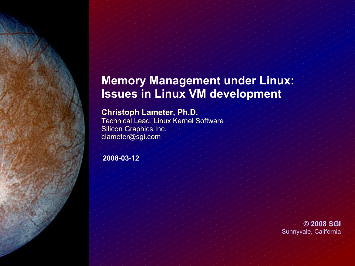## **Memory Management under Linux: Issues in Linux VM development**

#### **Christoph Lameter, Ph.D.**

Technical Lead, Linux Kernel Software Silicon Graphics Inc. clameter@sgi.com

**2008-03-12**

**© 2008 SGI** Sunnyvale, California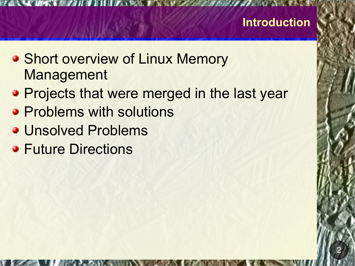## **Introduction**

2

- **Short overview of Linux Memory** Management
- **Projects that were merged in the last year**
- **Problems with solutions**
- **J** Unsolved Problems
- **Future Directions**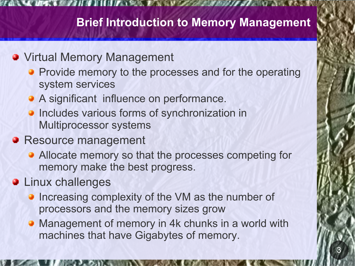# **Brief Introduction to Memory Management**

## **• Virtual Memory Management**

- **Provide memory to the processes and for the operating** system services
- A significant influence on performance.
- Includes various forms of synchronization in Multiprocessor systems
- **a** Resource management
	- **Allocate memory so that the processes competing for** memory make the best progress.
- **January Linux challenges** 
	- Increasing complexity of the VM as the number of processors and the memory sizes grow
	- Management of memory in 4k chunks in a world with machines that have Gigabytes of memory.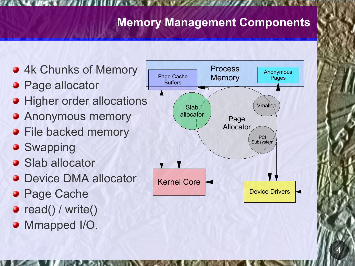# **Memory Management Components**

- **44 Chunks of Memory**
- **Page allocator**
- **Higher order allocations**
- Anonymous memory ◕
- **File backed memory**
- **Swapping**
- **3** Slab allocator
- **Device DMA allocator**
- **Page Cache**
- **a** read() / write()
- **Mmapped I/O.**

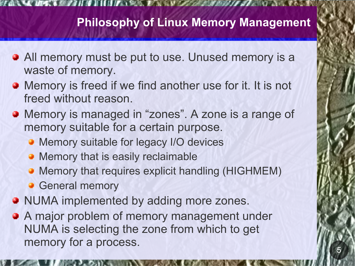# **Philosophy of Linux Memory Management**

- **All memory must be put to use. Unused memory is a** waste of memory.
- **Memory is freed if we find another use for it. It is not** freed without reason.
- **Memory is managed in "zones". A zone is a range of** memory suitable for a certain purpose.
	- **Memory suitable for legacy I/O devices**
	- **Memory that is easily reclaimable**
	- **Memory that requires explicit handling (HIGHMEM)**
	- **General memory**
- **NUMA implemented by adding more zones.**
- **A** major problem of memory management under NUMA is selecting the zone from which to get memory for a process.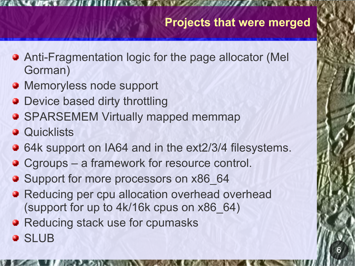- Anti-Fragmentation logic for the page allocator (Mel Gorman)
- **Memoryless node support**
- **Device based dirty throttling**
- **SPARSEMEM Virtually mapped memmap**
- **a** Quicklists
- 64k support on IA64 and in the ext2/3/4 filesystems.
- **C**groups a framework for resource control.
- Support for more processors on x86 64
- **Reducing per cpu allocation overhead overhead** (support for up to 4k/16k cpus on x86\_64)
- **B** Reducing stack use for cpumasks
- **a** SLUB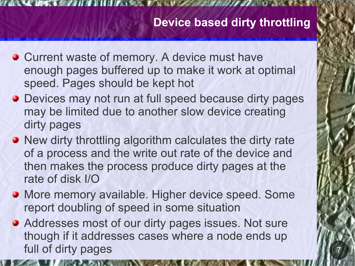# **Device based dirty throttling**

7

- **Current waste of memory. A device must have** enough pages buffered up to make it work at optimal speed. Pages should be kept hot
- **Devices may not run at full speed because dirty pages** may be limited due to another slow device creating dirty pages
- **New dirty throttling algorithm calculates the dirty rate** of a process and the write out rate of the device and then makes the process produce dirty pages at the rate of disk I/O
- **More memory available. Higher device speed. Some** report doubling of speed in some situation
- **Addresses most of our dirty pages issues. Not sure** though if it addresses cases where a node ends up full of dirty pages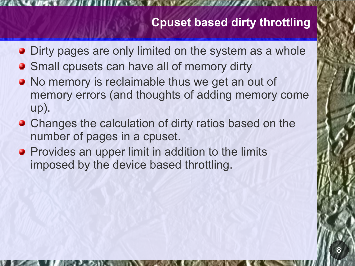# **Cpuset based dirty throttling**

- **Dirty pages are only limited on the system as a whole**
- **Small cpusets can have all of memory dirty**
- **No memory is reclaimable thus we get an out of** memory errors (and thoughts of adding memory come up).
- **Changes the calculation of dirty ratios based on the** number of pages in a cpuset.
- **Provides an upper limit in addition to the limits** imposed by the device based throttling.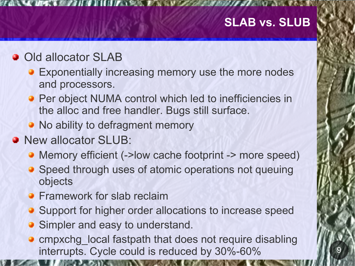## **SLAB vs. SLUB**

### **Old allocator SLAB**

- **Exponentially increasing memory use the more nodes** and processors.
- Per object NUMA control which led to inefficiencies in the alloc and free handler. Bugs still surface.
- No ability to defragment memory
- **New allocator SLUB:** 
	- Memory efficient (->low cache footprint -> more speed)
	- **Speed through uses of atomic operations not queuing** objects
	- **Framework for slab reclaim**
	- **Support for higher order allocations to increase speed**
	- **Simpler and easy to understand.**
	- **a** cmpxchg\_local fastpath that does not require disabling interrupts. Cycle could is reduced by 30%-60%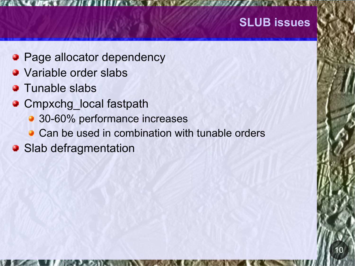## **SLUB issues**

- **Page allocator dependency**
- **Jackson** Variable order slabs
- **3** Tunable slabs
- **C**mpxchg local fastpath
	- **30-60% performance increases**
	- **Can be used in combination with tunable orders**
- Slab defragmentation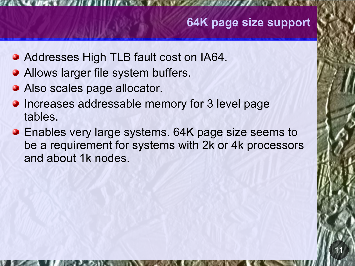# **64K page size support**

- **Addresses High TLB fault cost on IA64.**
- **Allows larger file system buffers.**
- **Also scales page allocator.**
- **Increases addressable memory for 3 level page** tables.
- **Enables very large systems. 64K page size seems to** be a requirement for systems with 2k or 4k processors and about 1k nodes.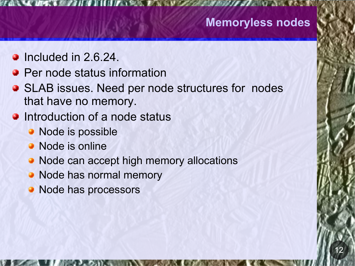### **Memoryless nodes**

- $\bullet$  Included in 2.6.24.
- **Per node status information**
- **SLAB issues. Need per node structures for nodes** that have no memory.
- **Introduction of a node status** 
	- Node is possible
	- Node is online
	- Node can accept high memory allocations
	- Node has normal memory
	- Node has processors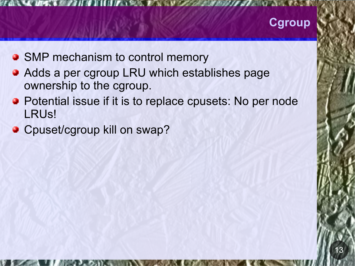# **Cgroup**

- SMP mechanism to control memory
- **Adds a per cgroup LRU which establishes page** ownership to the cgroup.
- **Potential issue if it is to replace cpusets: No per node** LRUs!
- **C** Cpuset/cgroup kill on swap?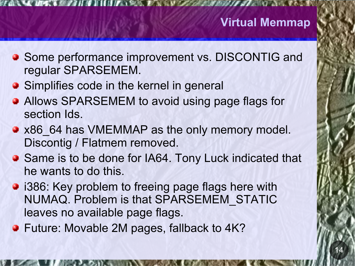- **Some performance improvement vs. DISCONTIG and** regular SPARSEMEM.
- **Simplifies code in the kernel in general**
- **Allows SPARSEMEM to avoid using page flags for** section Ids.
- x86 64 has VMEMMAP as the only memory model. Discontig / Flatmem removed.
- Same is to be done for IA64. Tony Luck indicated that he wants to do this.
- **i386: Key problem to freeing page flags here with** NUMAQ. Problem is that SPARSEMEM\_STATIC leaves no available page flags.
- **Future: Movable 2M pages, fallback to 4K?**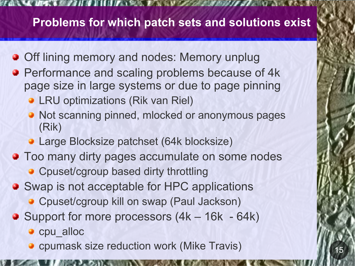# **Problems for which patch sets and solutions exist**

- **Off lining memory and nodes: Memory unplug**
- **Performance and scaling problems because of 4k** page size in large systems or due to page pinning
	- **LRU optimizations (Rik van Riel)**
	- Not scanning pinned, mlocked or anonymous pages (Rik)
	- **Large Blocksize patchset (64k blocksize)**
- **Too many dirty pages accumulate on some nodes** 
	- **Cpuset/cgroup based dirty throttling**
- Swap is not acceptable for HPC applications
	- **C** Cpuset/cgroup kill on swap (Paul Jackson)
- **Support for more processors (4k 16k 64k)** 
	- cpu alloc
	- **C** cpumask size reduction work (Mike Travis)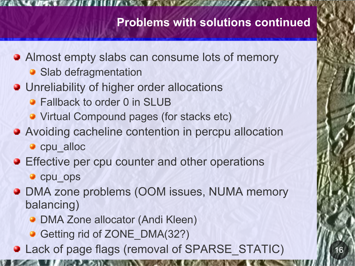# **Problems with solutions continued**

- **Almost empty slabs can consume lots of memory** 
	- **Slab defragmentation**
- **Julianalle Unreliability of higher order allocations** 
	- **Fallback to order 0 in SLUB**
	- **Virtual Compound pages (for stacks etc)**
- **Avoiding cacheline contention in percpu allocation** 
	- cpu alloc
- **Effective per cpu counter and other operations**

**c** cpu ops

- **DMA zone problems (OOM issues, NUMA memory** balancing)
	- **DMA Zone allocator (Andi Kleen)**
	- Getting rid of ZONE DMA(32?)
- **a** Lack of page flags (removal of SPARSE\_STATIC)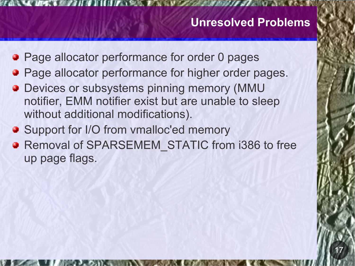### **Unresolved Problems**

17

- **Page allocator performance for order 0 pages**
- Page allocator performance for higher order pages.
- **Devices or subsystems pinning memory (MMU** notifier, EMM notifier exist but are unable to sleep without additional modifications).
- **Support for I/O from vmalloc'ed memory**
- **a** Removal of SPARSEMEM\_STATIC from i386 to free up page flags.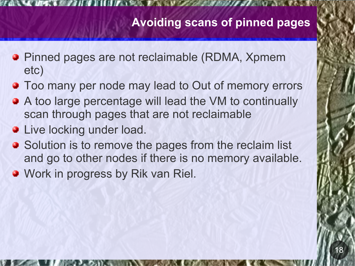# **Avoiding scans of pinned pages**

- **Pinned pages are not reclaimable (RDMA, Xpmem** etc)
- **Too many per node may lead to Out of memory errors**
- A too large percentage will lead the VM to continually scan through pages that are not reclaimable
- **January 19 Live locking under load.**
- Solution is to remove the pages from the reclaim list and go to other nodes if there is no memory available.
- **Work in progress by Rik van Riel.**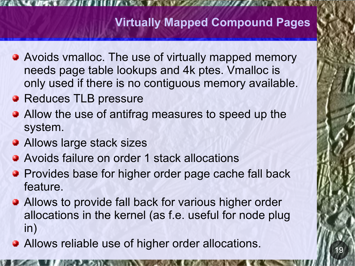# **Virtually Mapped Compound Pages**

- **Avoids vmalloc. The use of virtually mapped memory** needs page table lookups and 4k ptes. Vmalloc is only used if there is no contiguous memory available.
- **B** Reduces TLB pressure
- Allow the use of antifrag measures to speed up the system.
- **Allows large stack sizes**
- **Avoids failure on order 1 stack allocations**
- **Provides base for higher order page cache fall back** feature.
- **Allows to provide fall back for various higher order** allocations in the kernel (as f.e. useful for node plug in)
- **Allows reliable use of higher order allocations.**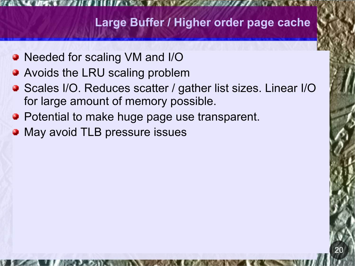# **Large Buffer / Higher order page cache**

- Needed for scaling VM and I/O
- **Avoids the LRU scaling problem**
- Scales I/O. Reduces scatter / gather list sizes. Linear I/O for large amount of memory possible.
- **Potential to make huge page use transparent.**
- May avoid TLB pressure issues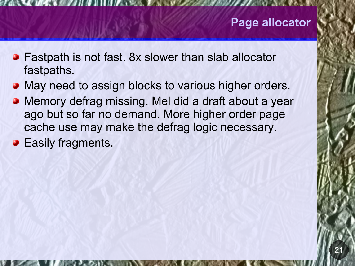# **Page allocator**

- **Fastpath is not fast. 8x slower than slab allocator** fastpaths.
- May need to assign blocks to various higher orders.
- Memory defrag missing. Mel did a draft about a year  $\bullet$ ago but so far no demand. More higher order page cache use may make the defrag logic necessary.
- **B** Easily fragments.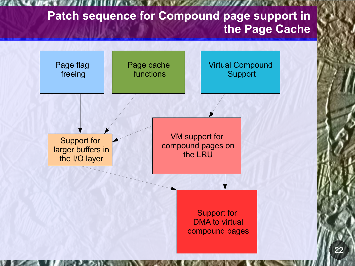# **Patch sequence for Compound page support in the Page Cache**



22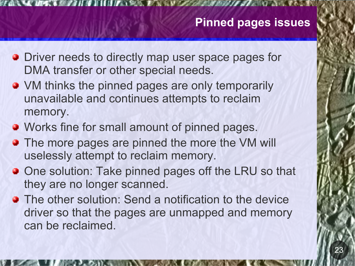### **Pinned pages issues**

- **Driver needs to directly map user space pages for** DMA transfer or other special needs.
- VM thinks the pinned pages are only temporarily unavailable and continues attempts to reclaim memory.
- **Works fine for small amount of pinned pages.**
- **The more pages are pinned the more the VM will** uselessly attempt to reclaim memory.
- **One solution: Take pinned pages off the LRU so that** they are no longer scanned.
- **The other solution: Send a notification to the device** driver so that the pages are unmapped and memory can be reclaimed.